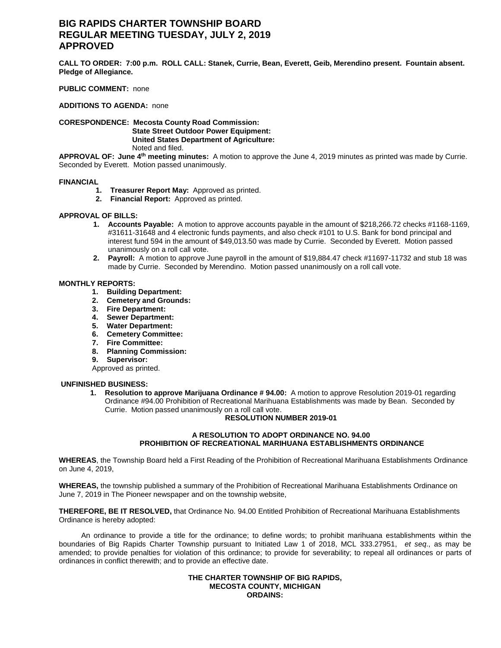# **BIG RAPIDS CHARTER TOWNSHIP BOARD REGULAR MEETING TUESDAY, JULY 2, 2019 APPROVED**

**CALL TO ORDER: 7:00 p.m. ROLL CALL: Stanek, Currie, Bean, Everett, Geib, Merendino present. Fountain absent. Pledge of Allegiance.**

### **PUBLIC COMMENT:** none

**ADDITIONS TO AGENDA:** none

**CORESPONDENCE: Mecosta County Road Commission: State Street Outdoor Power Equipment: United States Department of Agriculture:** Noted and filed.

**APPROVAL OF: June 4th meeting minutes:** A motion to approve the June 4, 2019 minutes as printed was made by Currie. Seconded by Everett. Motion passed unanimously.

### **FINANCIAL**

- **1. Treasurer Report May:** Approved as printed.
- **2. Financial Report:** Approved as printed.

### **APPROVAL OF BILLS:**

- **1. Accounts Payable:** A motion to approve accounts payable in the amount of \$218,266.72 checks #1168-1169, #31611-31648 and 4 electronic funds payments, and also check #101 to U.S. Bank for bond principal and interest fund 594 in the amount of \$49,013.50 was made by Currie. Seconded by Everett. Motion passed unanimously on a roll call vote.
- **2. Payroll:** A motion to approve June payroll in the amount of \$19,884.47 check #11697-11732 and stub 18 was made by Currie. Seconded by Merendino. Motion passed unanimously on a roll call vote.

### **MONTHLY REPORTS:**

- **1. Building Department:**
- **2. Cemetery and Grounds:**
- **3. Fire Department:**
- **4. Sewer Department:**
- **5. Water Department:**
- **6. Cemetery Committee:**
- **7. Fire Committee:**
- **8. Planning Commission:**
- **9. Supervisor:**

Approved as printed.

### **UNFINISHED BUSINESS:**

**1. Resolution to approve Marijuana Ordinance # 94.00:** A motion to approve Resolution 2019-01 regarding Ordinance #94.00 Prohibition of Recreational Marihuana Establishments was made by Bean. Seconded by Currie. Motion passed unanimously on a roll call vote.

# **RESOLUTION NUMBER 2019-01**

# **A RESOLUTION TO ADOPT ORDINANCE NO. 94.00 PROHIBITION OF RECREATIONAL MARIHUANA ESTABLISHMENTS ORDINANCE**

**WHEREAS**, the Township Board held a First Reading of the Prohibition of Recreational Marihuana Establishments Ordinance on June 4, 2019,

**WHEREAS,** the township published a summary of the Prohibition of Recreational Marihuana Establishments Ordinance on June 7, 2019 in The Pioneer newspaper and on the township website,

**THEREFORE, BE IT RESOLVED,** that Ordinance No. 94.00 Entitled Prohibition of Recreational Marihuana Establishments Ordinance is hereby adopted:

An ordinance to provide a title for the ordinance; to define words; to prohibit marihuana establishments within the boundaries of Big Rapids Charter Township pursuant to Initiated Law 1 of 2018, MCL 333.27951, *et seq*., as may be amended; to provide penalties for violation of this ordinance; to provide for severability; to repeal all ordinances or parts of ordinances in conflict therewith; and to provide an effective date.

### **THE CHARTER TOWNSHIP OF BIG RAPIDS, MECOSTA COUNTY, MICHIGAN ORDAINS:**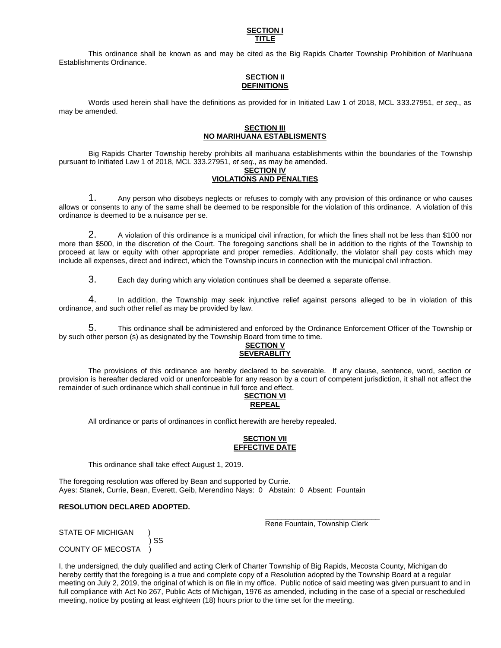#### **SECTION I TITLE**

This ordinance shall be known as and may be cited as the Big Rapids Charter Township Prohibition of Marihuana Establishments Ordinance.

# **SECTION II DEFINITIONS**

Words used herein shall have the definitions as provided for in Initiated Law 1 of 2018, MCL 333.27951, *et seq*., as may be amended.

# **SECTION III NO MARIHUANA ESTABLISMENTS**

Big Rapids Charter Township hereby prohibits all marihuana establishments within the boundaries of the Township pursuant to Initiated Law 1 of 2018, MCL 333.27951, *et seq*., as may be amended.

### **SECTION IV VIOLATIONS AND PENALTIES**

1. Any person who disobeys neglects or refuses to comply with any provision of this ordinance or who causes allows or consents to any of the same shall be deemed to be responsible for the violation of this ordinance. A violation of this ordinance is deemed to be a nuisance per se.

2. A violation of this ordinance is a municipal civil infraction, for which the fines shall not be less than \$100 nor more than \$500, in the discretion of the Court. The foregoing sanctions shall be in addition to the rights of the Township to proceed at law or equity with other appropriate and proper remedies. Additionally, the violator shall pay costs which may include all expenses, direct and indirect, which the Township incurs in connection with the municipal civil infraction.

3. Each day during which any violation continues shall be deemed a separate offense.

4. In addition, the Township may seek injunctive relief against persons alleged to be in violation of this ordinance, and such other relief as may be provided by law.

5. This ordinance shall be administered and enforced by the Ordinance Enforcement Officer of the Township or by such other person (s) as designated by the Township Board from time to time.

# **SECTION V SEVERABLITY**

The provisions of this ordinance are hereby declared to be severable. If any clause, sentence, word, section or provision is hereafter declared void or unenforceable for any reason by a court of competent jurisdiction, it shall not affect the remainder of such ordinance which shall continue in full force and effect.

# **SECTION VI REPEAL**

All ordinance or parts of ordinances in conflict herewith are hereby repealed.

# **SECTION VII EFFECTIVE DATE**

This ordinance shall take effect August 1, 2019.

The foregoing resolution was offered by Bean and supported by Currie. Ayes: Stanek, Currie, Bean, Everett, Geib, Merendino Nays: 0 Abstain: 0 Absent: Fountain

## **RESOLUTION DECLARED ADOPTED.**

\_\_\_\_\_\_\_\_\_\_\_\_\_\_\_\_\_\_\_\_\_\_\_\_\_\_\_\_ Rene Fountain, Township Clerk

STATE OF MICHIGAN

 ) SS COUNTY OF MECOSTA )

I, the undersigned, the duly qualified and acting Clerk of Charter Township of Big Rapids, Mecosta County, Michigan do hereby certify that the foregoing is a true and complete copy of a Resolution adopted by the Township Board at a regular meeting on July 2, 2019, the original of which is on file in my office. Public notice of said meeting was given pursuant to and in full compliance with Act No 267, Public Acts of Michigan, 1976 as amended, including in the case of a special or rescheduled meeting, notice by posting at least eighteen (18) hours prior to the time set for the meeting.